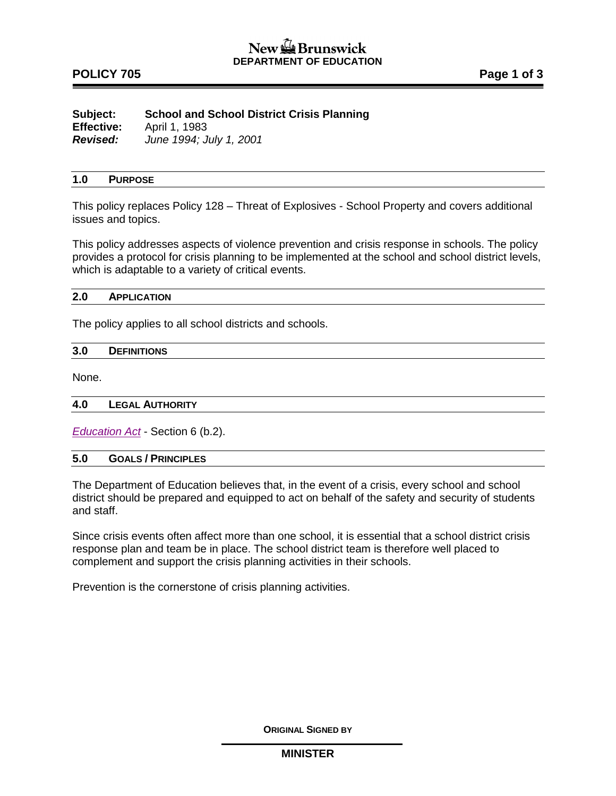# **POLICY 705 POLICY 705**

| Subject:          | <b>School and School District Crisis Planning</b> |
|-------------------|---------------------------------------------------|
| <b>Effective:</b> | April 1, 1983                                     |
| <b>Revised:</b>   | June 1994; July 1, 2001                           |

### **1.0 PURPOSE**

This policy replaces Policy 128 – Threat of Explosives - School Property and covers additional issues and topics.

This policy addresses aspects of violence prevention and crisis response in schools. The policy provides a protocol for crisis planning to be implemented at the school and school district levels, which is adaptable to a variety of critical events.

### **2.0 APPLICATION**

The policy applies to all school districts and schools.

| 3.0 | <b>DEFINITIONS</b> |  |  |  |
|-----|--------------------|--|--|--|
|     |                    |  |  |  |

None.

#### **4.0 LEGAL AUTHORITY**

*[Education Act](http://laws.gnb.ca/en/ShowPdf/cs/E-1.12.pdf)* - Section 6 (b.2).

### **5.0 GOALS / PRINCIPLES**

The Department of Education believes that, in the event of a crisis, every school and school district should be prepared and equipped to act on behalf of the safety and security of students and staff.

Since crisis events often affect more than one school, it is essential that a school district crisis response plan and team be in place. The school district team is therefore well placed to complement and support the crisis planning activities in their schools.

Prevention is the cornerstone of crisis planning activities.

**ORIGINAL SIGNED BY**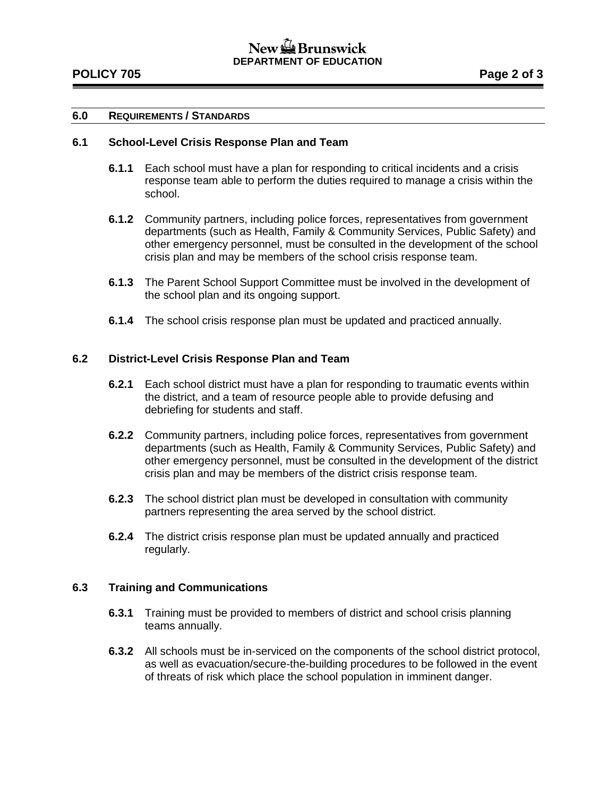# New  $\mathbb{Z}$  Brunswick **DEPARTMENT OF EDUCATION**

## **6.0 REQUIREMENTS / STANDARDS**

### **6.1 School-Level Crisis Response Plan and Team**

- **6.1.1** Each school must have a plan for responding to critical incidents and a crisis response team able to perform the duties required to manage a crisis within the school.
- **6.1.2** Community partners, including police forces, representatives from government departments (such as Health, Family & Community Services, Public Safety) and other emergency personnel, must be consulted in the development of the school crisis plan and may be members of the school crisis response team.
- **6.1.3** The Parent School Support Committee must be involved in the development of the school plan and its ongoing support.
- **6.1.4** The school crisis response plan must be updated and practiced annually.

### **6.2 District-Level Crisis Response Plan and Team**

- **6.2.1** Each school district must have a plan for responding to traumatic events within the district, and a team of resource people able to provide defusing and debriefing for students and staff.
- **6.2.2** Community partners, including police forces, representatives from government departments (such as Health, Family & Community Services, Public Safety) and other emergency personnel, must be consulted in the development of the district crisis plan and may be members of the district crisis response team.
- **6.2.3** The school district plan must be developed in consultation with community partners representing the area served by the school district.
- **6.2.4** The district crisis response plan must be updated annually and practiced regularly.

## **6.3 Training and Communications**

- **6.3.1** Training must be provided to members of district and school crisis planning teams annually.
- **6.3.2** All schools must be in-serviced on the components of the school district protocol, as well as evacuation/secure-the-building procedures to be followed in the event of threats of risk which place the school population in imminent danger.